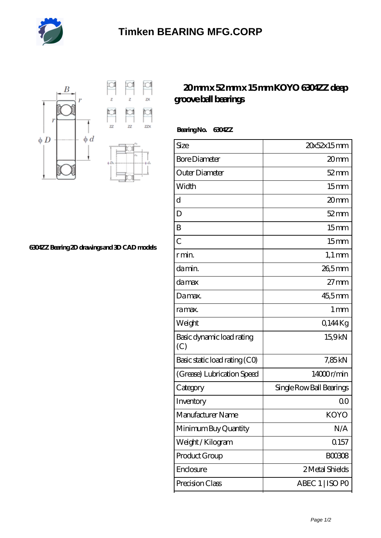



**[6304ZZ Bearing 2D drawings and 3D CAD models](https://m.heavydutytrucksforsale.net/pic-555084.html)**

## **[20 mm x 52 mm x 15 mm KOYO 6304ZZ deep](https://m.heavydutytrucksforsale.net/koyo-6304zz-bearing/) [groove ball bearings](https://m.heavydutytrucksforsale.net/koyo-6304zz-bearing/)**

 **Bearing No. 6304ZZ**

| Size                             | 20x52x15mm               |
|----------------------------------|--------------------------|
| <b>Bore Diameter</b>             | 20mm                     |
| Outer Diameter                   | $52 \text{mm}$           |
| Width                            | 15 <sub>mm</sub>         |
| d                                | 20mm                     |
| D                                | $52$ mm                  |
| B                                | 15 <sub>mm</sub>         |
| $\overline{C}$                   | 15 <sub>mm</sub>         |
| r min.                           | $1,1 \text{ mm}$         |
| da min.                          | 26,5mm                   |
| damax                            | $27 \text{mm}$           |
| Damax.                           | 45,5mm                   |
| ra max.                          | 1 <sub>mm</sub>          |
| Weight                           | 0.144Kg                  |
| Basic dynamic load rating<br>(C) | 15.9kN                   |
| Basic static load rating (CO)    | 7,85 kN                  |
| (Grease) Lubrication Speed       | 14000r/min               |
| Category                         | Single Row Ball Bearings |
| Inventory                        | Q0                       |
| Manufacturer Name                | <b>KOYO</b>              |
| Minimum Buy Quantity             | N/A                      |
| Weight/Kilogram                  | 0.157                    |
| Product Group                    | <b>BOO3O8</b>            |
| Enclosure                        | 2 Metal Shields          |
| Precision Class                  | ABEC 1   ISO PO          |
|                                  |                          |